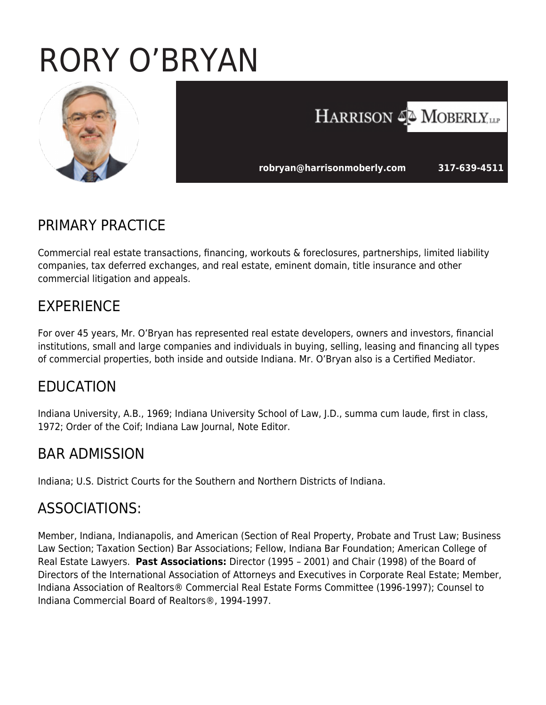# RORY O'BRYAN



# HARRISON 4<sup>2</sup> MOBERLY, LLP

**robryan@harrisonmoberly.com 317-639-4511** 

### PRIMARY PRACTICE

Commercial real estate transactions, financing, workouts & foreclosures, partnerships, limited liability companies, tax deferred exchanges, and real estate, eminent domain, title insurance and other commercial litigation and appeals.

# EXPERIENCE

For over 45 years, Mr. O'Bryan has represented real estate developers, owners and investors, financial institutions, small and large companies and individuals in buying, selling, leasing and financing all types of commercial properties, both inside and outside Indiana. Mr. O'Bryan also is a Certified Mediator.

# EDUCATION

Indiana University, A.B., 1969; Indiana University School of Law, J.D., summa cum laude, first in class, 1972; Order of the Coif; Indiana Law Journal, Note Editor.

# BAR ADMISSION

Indiana; U.S. District Courts for the Southern and Northern Districts of Indiana.

#### ASSOCIATIONS:

Member, Indiana, Indianapolis, and American (Section of Real Property, Probate and Trust Law; Business Law Section; Taxation Section) Bar Associations; Fellow, Indiana Bar Foundation; American College of Real Estate Lawyers. **Past Associations:** Director (1995 – 2001) and Chair (1998) of the Board of Directors of the International Association of Attorneys and Executives in Corporate Real Estate; Member, Indiana Association of Realtors® Commercial Real Estate Forms Committee (1996-1997); Counsel to Indiana Commercial Board of Realtors®, 1994-1997.